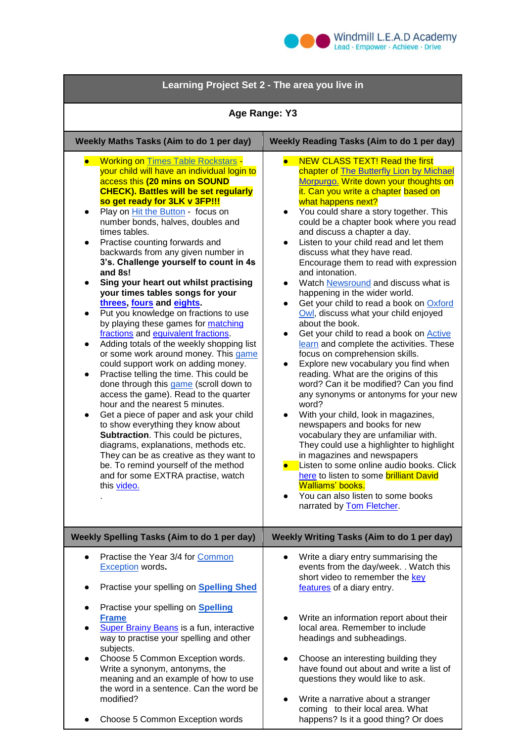

| Learning Project Set 2 - The area you live in                                                                                                                                                                                                                                                                                                                                                                                                                                                                                                                                                                                                                                                                                                                                                                                                                                                                                                                                                                                                                                                                                                                                                                                                                                                                                          |                                                                                                                                                                                                                                                                                                                                                                                                                                                                                                                                                                                                                                                                                                                                                                                                                                                                                                                                                                                                                                                                                                                                                                                                                                                                                                                                                                                                                  |
|----------------------------------------------------------------------------------------------------------------------------------------------------------------------------------------------------------------------------------------------------------------------------------------------------------------------------------------------------------------------------------------------------------------------------------------------------------------------------------------------------------------------------------------------------------------------------------------------------------------------------------------------------------------------------------------------------------------------------------------------------------------------------------------------------------------------------------------------------------------------------------------------------------------------------------------------------------------------------------------------------------------------------------------------------------------------------------------------------------------------------------------------------------------------------------------------------------------------------------------------------------------------------------------------------------------------------------------|------------------------------------------------------------------------------------------------------------------------------------------------------------------------------------------------------------------------------------------------------------------------------------------------------------------------------------------------------------------------------------------------------------------------------------------------------------------------------------------------------------------------------------------------------------------------------------------------------------------------------------------------------------------------------------------------------------------------------------------------------------------------------------------------------------------------------------------------------------------------------------------------------------------------------------------------------------------------------------------------------------------------------------------------------------------------------------------------------------------------------------------------------------------------------------------------------------------------------------------------------------------------------------------------------------------------------------------------------------------------------------------------------------------|
| Age Range: Y3                                                                                                                                                                                                                                                                                                                                                                                                                                                                                                                                                                                                                                                                                                                                                                                                                                                                                                                                                                                                                                                                                                                                                                                                                                                                                                                          |                                                                                                                                                                                                                                                                                                                                                                                                                                                                                                                                                                                                                                                                                                                                                                                                                                                                                                                                                                                                                                                                                                                                                                                                                                                                                                                                                                                                                  |
| Weekly Maths Tasks (Aim to do 1 per day)                                                                                                                                                                                                                                                                                                                                                                                                                                                                                                                                                                                                                                                                                                                                                                                                                                                                                                                                                                                                                                                                                                                                                                                                                                                                                               | <b>Weekly Reading Tasks (Aim to do 1 per day)</b>                                                                                                                                                                                                                                                                                                                                                                                                                                                                                                                                                                                                                                                                                                                                                                                                                                                                                                                                                                                                                                                                                                                                                                                                                                                                                                                                                                |
| <b>Working on Times Table Rockstars -</b><br>$\bullet$<br>your child will have an individual login to<br>access this (20 mins on SOUND<br><b>CHECK). Battles will be set regularly</b><br>so get ready for 3LK v 3FP!!!<br>Play on Hit the Button - focus on<br>number bonds, halves, doubles and<br>times tables.<br>Practise counting forwards and<br>backwards from any given number in<br>3's. Challenge yourself to count in 4s<br>and 8s!<br>Sing your heart out whilst practising<br>your times tables songs for your<br>threes, fours and eights.<br>Put you knowledge on fractions to use<br>$\bullet$<br>by playing these games for matching<br>fractions and equivalent fractions.<br>Adding totals of the weekly shopping list<br>$\bullet$<br>or some work around money. This game<br>could support work on adding money.<br>Practise telling the time. This could be<br>done through this game (scroll down to<br>access the game). Read to the quarter<br>hour and the nearest 5 minutes.<br>Get a piece of paper and ask your child<br>$\bullet$<br>to show everything they know about<br><b>Subtraction</b> . This could be pictures,<br>diagrams, explanations, methods etc.<br>They can be as creative as they want to<br>be. To remind yourself of the method<br>and for some EXTRA practise, watch<br>this video. | <b>NEW CLASS TEXT! Read the first</b><br>$\bullet$<br>chapter of The Butterfly Lion by Michael<br>Morpurgo. Write down your thoughts on<br>it. Can you write a chapter based on<br>what happens next?<br>You could share a story together. This<br>$\bullet$<br>could be a chapter book where you read<br>and discuss a chapter a day.<br>Listen to your child read and let them<br>discuss what they have read.<br>Encourage them to read with expression<br>and intonation.<br>Watch Newsround and discuss what is<br>$\bullet$<br>happening in the wider world.<br>Get your child to read a book on Oxford<br>$\bullet$<br>Owl, discuss what your child enjoyed<br>about the book.<br>Get your child to read a book on <b>Active</b><br>$\bullet$<br>learn and complete the activities. These<br>focus on comprehension skills.<br>Explore new vocabulary you find when<br>reading. What are the origins of this<br>word? Can it be modified? Can you find<br>any synonyms or antonyms for your new<br>word?<br>With your child, look in magazines,<br>$\bullet$<br>newspapers and books for new<br>vocabulary they are unfamiliar with.<br>They could use a highlighter to highlight<br>in magazines and newspapers<br>Listen to some online audio books. Click<br>here to listen to some brilliant David<br>Walliams' books.<br>You can also listen to some books<br>$\bullet$<br>narrated by Tom Fletcher. |
| <b>Weekly Spelling Tasks (Aim to do 1 per day)</b>                                                                                                                                                                                                                                                                                                                                                                                                                                                                                                                                                                                                                                                                                                                                                                                                                                                                                                                                                                                                                                                                                                                                                                                                                                                                                     | Weekly Writing Tasks (Aim to do 1 per day)                                                                                                                                                                                                                                                                                                                                                                                                                                                                                                                                                                                                                                                                                                                                                                                                                                                                                                                                                                                                                                                                                                                                                                                                                                                                                                                                                                       |
| Practise the Year 3/4 for Common<br>$\bullet$<br>Exception words.                                                                                                                                                                                                                                                                                                                                                                                                                                                                                                                                                                                                                                                                                                                                                                                                                                                                                                                                                                                                                                                                                                                                                                                                                                                                      | Write a diary entry summarising the<br>events from the day/week. . Watch this<br>short video to remember the key                                                                                                                                                                                                                                                                                                                                                                                                                                                                                                                                                                                                                                                                                                                                                                                                                                                                                                                                                                                                                                                                                                                                                                                                                                                                                                 |
| Practise your spelling on <b>Spelling Shed</b>                                                                                                                                                                                                                                                                                                                                                                                                                                                                                                                                                                                                                                                                                                                                                                                                                                                                                                                                                                                                                                                                                                                                                                                                                                                                                         | features of a diary entry.                                                                                                                                                                                                                                                                                                                                                                                                                                                                                                                                                                                                                                                                                                                                                                                                                                                                                                                                                                                                                                                                                                                                                                                                                                                                                                                                                                                       |
| Practise your spelling on <b>Spelling</b><br><u>Frame</u><br><b>Super Brainy Beans</b> is a fun, interactive<br>way to practise your spelling and other<br>subjects.<br>Choose 5 Common Exception words.<br>$\bullet$<br>Write a synonym, antonyms, the<br>meaning and an example of how to use<br>the word in a sentence. Can the word be<br>modified?                                                                                                                                                                                                                                                                                                                                                                                                                                                                                                                                                                                                                                                                                                                                                                                                                                                                                                                                                                                | Write an information report about their<br>local area. Remember to include<br>headings and subheadings.<br>Choose an interesting building they<br>have found out about and write a list of<br>questions they would like to ask.<br>Write a narrative about a stranger<br>$\bullet$                                                                                                                                                                                                                                                                                                                                                                                                                                                                                                                                                                                                                                                                                                                                                                                                                                                                                                                                                                                                                                                                                                                               |
| Choose 5 Common Exception words                                                                                                                                                                                                                                                                                                                                                                                                                                                                                                                                                                                                                                                                                                                                                                                                                                                                                                                                                                                                                                                                                                                                                                                                                                                                                                        | coming to their local area. What<br>happens? Is it a good thing? Or does                                                                                                                                                                                                                                                                                                                                                                                                                                                                                                                                                                                                                                                                                                                                                                                                                                                                                                                                                                                                                                                                                                                                                                                                                                                                                                                                         |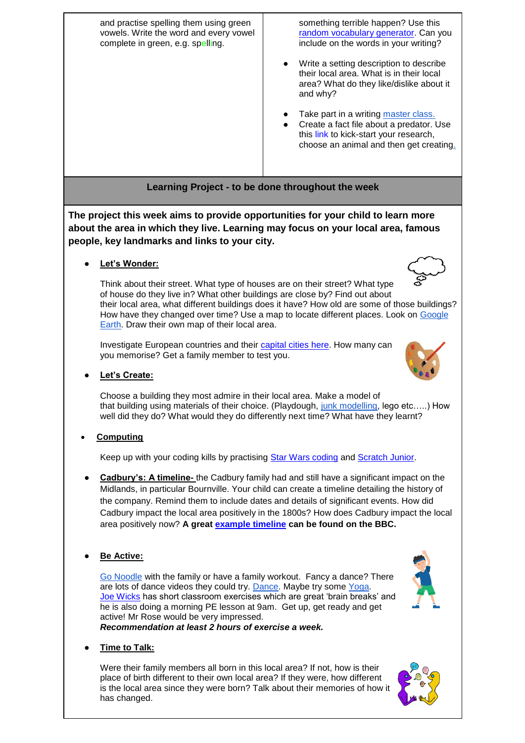and practise spelling them using green vowels. Write the word and every vowel complete in green, e.g. spelling. something terrible happen? Use this [random vocabulary generator.](https://www.randomlists.com/random-vocabulary-words) Can you include on the words in your writing? Write a setting description to describe their local area. What is in their local area? What do they like/dislike about it and why? Take part in a writing [master class.](https://authorfy.com/) Create a fact file about a predator. Use this [link](https://kids.kiddle.co/Predation) to kick-start your research, choose an animal and then get creating.

**The project this week aims to provide opportunities for your child to learn more about the area in which they live. Learning may focus on your local area, famous people, key landmarks and links to your city.**

**Learning Project - to be done throughout the week**

Let's Wonder:

Think about their street. What type of houses are on their street? What type of house do they live in? What other buildings are close by? Find out about their local area, what different buildings does it have? How old are some of those buildings? How have they changed over time? Use a map to locate different places. Look on [Google](https://www.google.co.uk/intl/en_uk/earth/)  [Earth.](https://www.google.co.uk/intl/en_uk/earth/) Draw their own map of their local area.

Investigate European countries and their [capital cities here.](http://www.yourchildlearns.com/europe_map.htm) How many can you memorise? Get a family member to test you.

**Let's Create:** 

Choose a building they most admire in their local area. Make a model of that building using materials of their choice. (Playdough, [junk modelling,](https://www.google.com/search?q=junk+modelling+buildings&tbm=isch&ved=2ahUKEwi9orTfiJjoAhVBKxoKHQjNAX8Q2-cCegQIABAA&oq=junk+modelling+buildings&gs_l=img.3...0.0..155...0.0..0.0.0.......0......gws-wiz-img.JhUl-OU1n80&ei=Tc9rXv3HEcHWaIiah_gH&rlz=1C1RUCY_enGB687GB688&safe=strict) lego etc…..) How well did they do? What would they do differently next time? What have they learnt?

**Computing**

Keep up with your coding kills by practising [Star Wars coding](https://code.org/starwars) and [Scratch Junior.](https://www.scratchjr.org/)

- **Cadbury's: A timeline-** the Cadbury family had and still have a significant impact on the Midlands, in particular Bournville. Your child can create a timeline detailing the history of the company. Remind them to include dates and details of significant events. How did Cadbury impact the local area positively in the 1800s? How does Cadbury impact the local area positively now? **A great [example timeline](http://news.bbc.co.uk/2/hi/uk_news/england/8467489.stm) can be found on the BBC.**
- **Be Active:**

[Go Noodle](https://www.gonoodle.com/) with the family or have a family workout. Fancy a dance? There are lots of dance videos they could try. [Dance.](https://www.youtube.com/watch?v=8-9Sm6_yE98) Maybe try some [Yoga.](https://www.youtube.com/watch?v=R-BS87NTV5I&vl=en) [Joe Wicks](https://www.youtube.com/watch?v=d3LPrhI0v-w) has short classroom exercises which are great 'brain breaks' and he is also doing a morning PE lesson at 9am. Get up, get ready and get active! Mr Rose would be very impressed. *Recommendation at least 2 hours of exercise a week.*

**Time to Talk:** 

Were their family members all born in this local area? If not, how is their place of birth different to their own local area? If they were, how different is the local area since they were born? Talk about their memories of how it has changed.